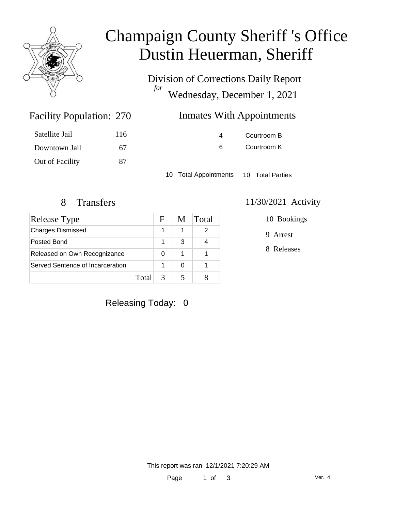

# Champaign County Sheriff 's Office Dustin Heuerman, Sheriff

Division of Corrections Daily Report *for* Wednesday, December 1, 2021

| <b>Inmates With Appointments</b><br>270 |  |
|-----------------------------------------|--|
|-----------------------------------------|--|

| Satellite Jail  | 116 |
|-----------------|-----|
| Downtown Jail   | 67  |
| Out of Facility | 87  |

Facility Population: 270

4 Courtroom B 6 Courtroom K

10 Total Appointments 10 Total Parties

## 8 Transfers 11/30/2021 Activity

| <b>Release Type</b>              |       | F | M | Total |
|----------------------------------|-------|---|---|-------|
| <b>Charges Dismissed</b>         |       |   |   | 2     |
| Posted Bond                      |       |   | 3 |       |
| Released on Own Recognizance     |       | O |   |       |
| Served Sentence of Incarceration |       |   | O |       |
|                                  | Total |   |   |       |

#### 10 Bookings

9 Arrest

8 Releases

Releasing Today: 0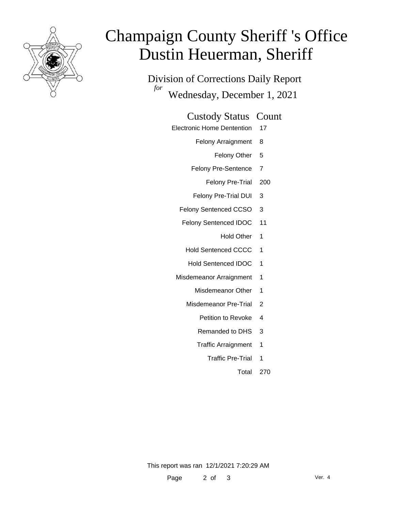

# Champaign County Sheriff 's Office Dustin Heuerman, Sheriff

Division of Corrections Daily Report *for* Wednesday, December 1, 2021

#### Custody Status Count

- Electronic Home Dentention 17
	- Felony Arraignment 8
		- Felony Other 5
	- Felony Pre-Sentence 7
		- Felony Pre-Trial 200
	- Felony Pre-Trial DUI 3
	- Felony Sentenced CCSO 3
	- Felony Sentenced IDOC 11
		- Hold Other 1
		- Hold Sentenced CCCC 1
		- Hold Sentenced IDOC 1
	- Misdemeanor Arraignment 1
		- Misdemeanor Other 1
		- Misdemeanor Pre-Trial 2
			- Petition to Revoke 4
			- Remanded to DHS 3
			- Traffic Arraignment 1
				- Traffic Pre-Trial 1
					- Total 270